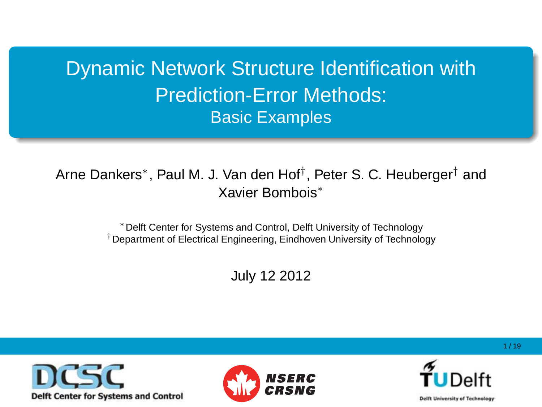Dynamic Network Structure Identification with Prediction-Error Methods: Basic Examples

Arne Dankers\*, Paul M. J. Van den Hof<sup>†</sup>, Peter S. C. Heuberger<sup>†</sup> and Xavier Bombois<sup>∗</sup>

> <sup>∗</sup>Delft Center for Systems and Control, Delft University of Technology †Department of Electrical Engineering, Eindhoven University of Technology

> > July 12 2012





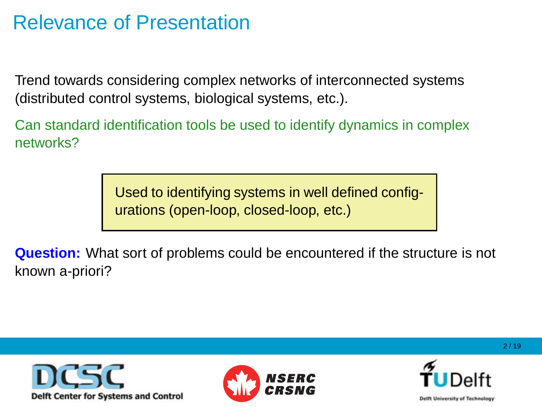#### Relevance of Presentation

Trend towards considering complex networks of interconnected systems (distributed control systems, biological systems, etc.).

Can standard identification tools be used to identify dynamics in complex networks?

> Used to identifying systems in well defined configurations (open-loop, closed-loop, etc.)

**Question:** What sort of problems could be encountered if the structure is not known a-priori?





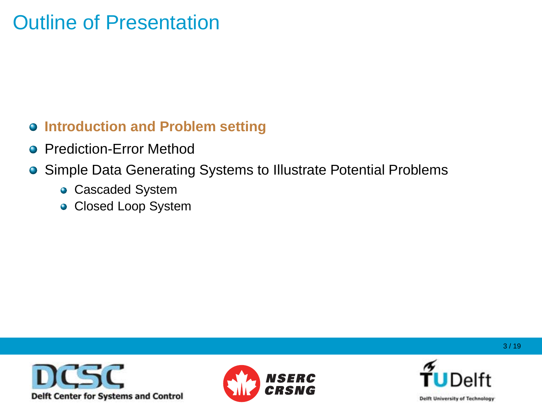### Outline of Presentation

#### **Introduction and Problem setting**

- **Prediction-Error Method**
- **Simple Data Generating Systems to Illustrate Potential Problems** 
	- **Cascaded System**
	- Closed Loop System





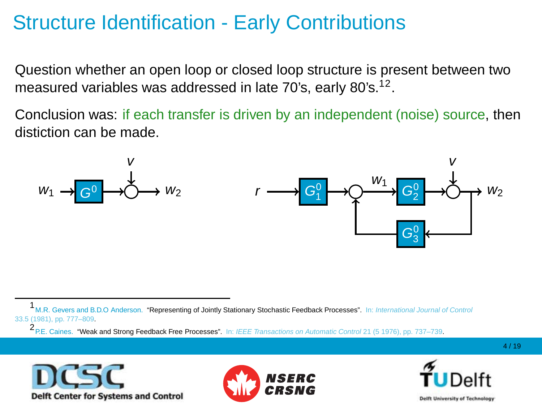# Structure Identification - Early Contributions

Question whether an open loop or closed loop structure is present between two measured variables was addressed in late 70's, early 80's. $^{12}$ .

Conclusion was: if each transfer is driven by an independent (noise) source, then distiction can be made.









<sup>1</sup> M.R. Gevers and B.D.O Anderson. "Representing of Jointly Stationary Stochastic Feedback Processes". In: International Journal of Control 33.5 (1981), pp. 777–809.

<sup>2&</sup>lt;br>P.E. Caines. "Weak and Strong Feedback Free Processes". In: IEEE Transactions on Automatic Control 21 (5 1976), pp. 737–739.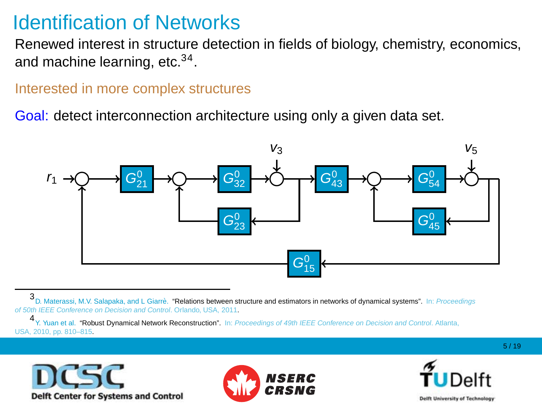#### Identification of Networks

Renewed interest in structure detection in fields of biology, chemistry, economics, and machine learning, etc.<sup>34</sup>.

#### Interested in more complex structures

Goal: detect interconnection architecture using only a given data set.



3D. Materassi, M.V. Salapaka, and L Giarrè. "Relations between structure and estimators in networks of dynamical systems". In: Proceedings of 50th IEEE Conference on Decision and Control. Orlando, USA, 2011.

4 Y. Yuan et al. "Robust Dynamical Network Reconstruction". In: Proceedings of 49th IEEE Conference on Decision and Control. Atlanta, USA, 2010, pp. 810–815.





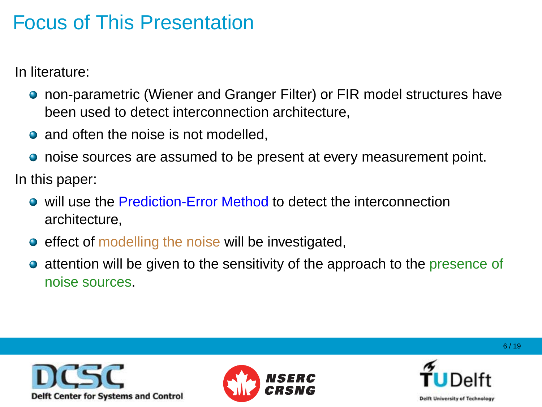# Focus of This Presentation

In literature:

- **•** non-parametric (Wiener and Granger Filter) or FIR model structures have been used to detect interconnection architecture,
- and often the noise is not modelled.
- **•** noise sources are assumed to be present at every measurement point.

In this paper:

- will use the Prediction-Error Method to detect the interconnection architecture,
- **e** effect of modelling the noise will be investigated,
- attention will be given to the sensitivity of the approach to the presence of  $\bullet$ noise sources.





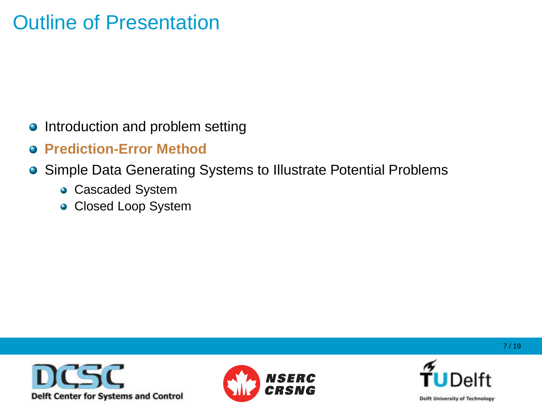### Outline of Presentation

- Introduction and problem setting
- **Prediction-Error Method**
- Simple Data Generating Systems to Illustrate Potential Problems
	- **Cascaded System**
	- Closed Loop System





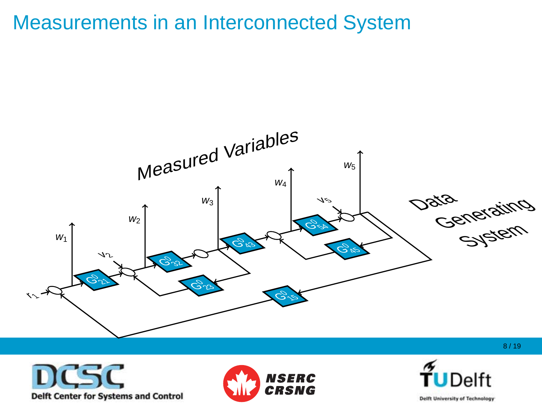#### Measurements in an Interconnected System







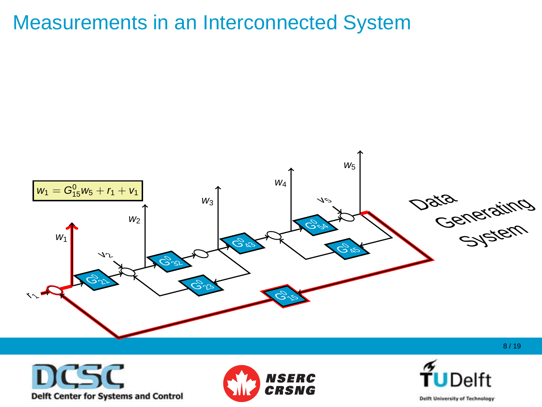#### Measurements in an Interconnected System







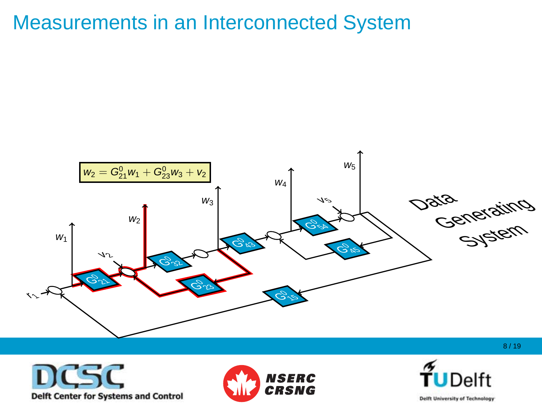#### Measurements in an Interconnected System







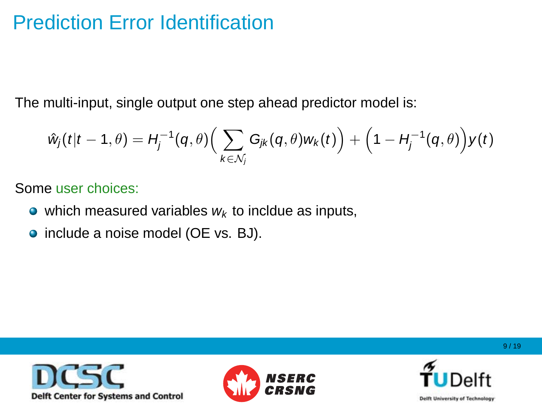## Prediction Error Identification

The multi-input, single output one step ahead predictor model is:

$$
\hat{w}_j(t|t-1,\theta) = H_j^{-1}(q,\theta) \Big( \sum_{k \in \mathcal{N}_j} G_{jk}(q,\theta) w_k(t) \Big) + \Big( 1 - H_j^{-1}(q,\theta) \Big) y(t)
$$

Some user choices:

- which measured variables  $w_k$  to incldue as inputs,
- include a noise model (OE vs. BJ).





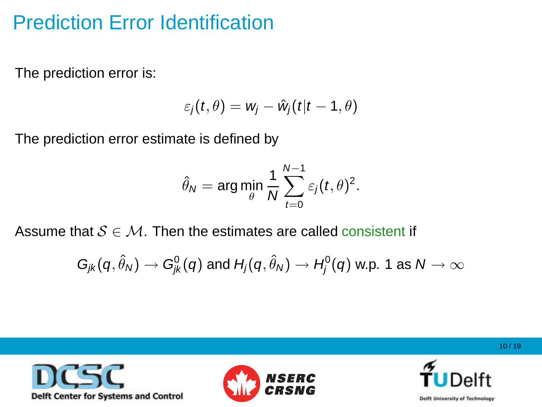# Prediction Error Identification

The prediction error is:

$$
\varepsilon_j(t,\theta)=w_j-\hat{w}_j(t|t-1,\theta)
$$

The prediction error estimate is defined by

$$
\hat{\theta}_N = \arg\min_{\theta} \frac{1}{N} \sum_{t=0}^{N-1} \varepsilon_j(t,\theta)^2.
$$

Assume that  $S \in \mathcal{M}$ . Then the estimates are called consistent if

$$
G_{jk}(q,\hat{\theta}_N)\to G_{jk}^0(q)\text{ and }H_j(q,\hat{\theta}_N)\to H_j^0(q)\text{ w.p. 1 as }N\to\infty
$$





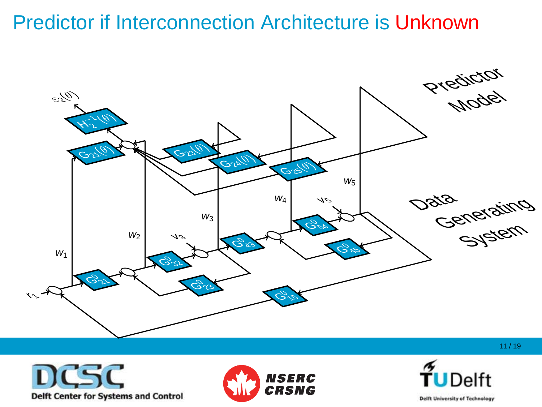#### Predictor if Interconnection Architecture is Unknown







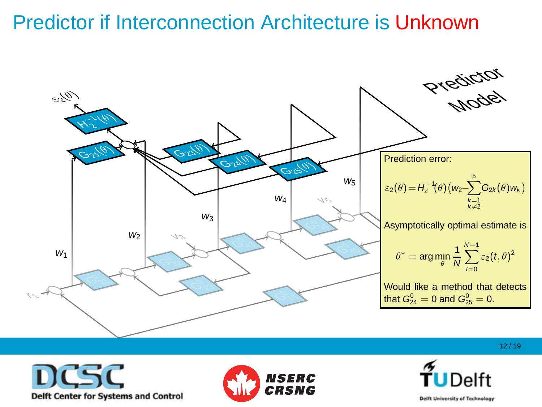#### Predictor if Interconnection Architecture is Unknown



DCSC **Delft Center for Systems and Control** 



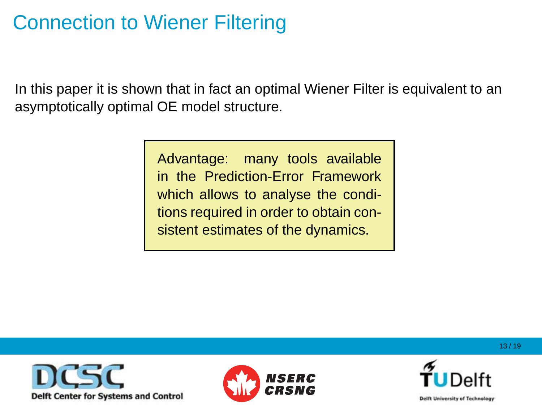# Connection to Wiener Filtering

In this paper it is shown that in fact an optimal Wiener Filter is equivalent to an asymptotically optimal OE model structure.

> Advantage: many tools available in the Prediction-Error Framework which allows to analyse the conditions required in order to obtain consistent estimates of the dynamics.





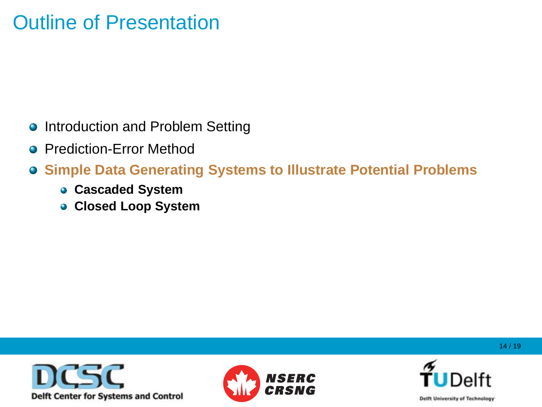### Outline of Presentation

- **Introduction and Problem Setting**
- **Prediction-Error Method**
- **Simple Data Generating Systems to Illustrate Potential Problems**
	- **Cascaded System**
	- **Closed Loop System**





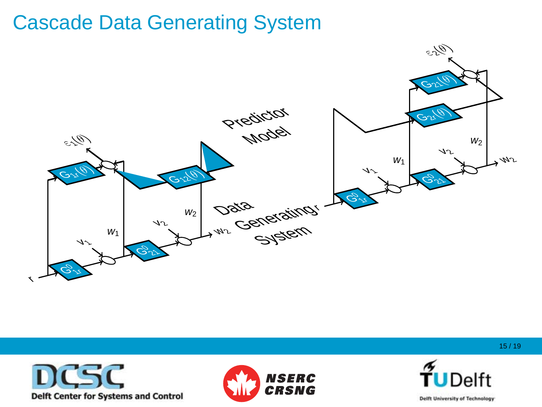





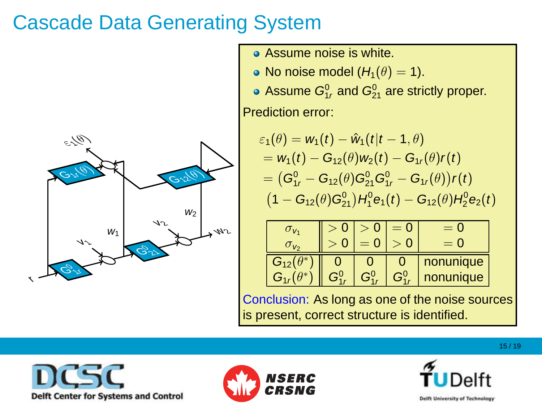

- Assume noise is white.
- No noise model  $(H_1(\theta) = 1)$ .
- Assume  $G_{1r}^0$  and  $G_{21}^0$  are strictly proper.

Prediction error:

• Assume noise is white.  
\n• No noise model 
$$
(H_1(\theta) = 1)
$$
.  
\n• Assume  $G_{1r}^0$  and  $G_{21}^0$  are strictly proper.  
\n**Production error:**  
\n
$$
\varepsilon_1(\theta) = w_1(t) - \hat{w}_1(t|t-1,\theta)
$$
\n
$$
= w_1(t) - G_{12}(\theta)w_2(t) - G_{1r}(\theta)r(t)
$$
\n
$$
= (G_{1r}^0 - G_{12}(\theta)G_{21}^0)G_{1r}^0 - G_{1r}(\theta)r(t)
$$
\n
$$
(1 - G_{12}(\theta)G_{21}^0)H_1^0 e_1(t) - G_{12}(\theta)H_2^0 e_2(t)
$$

| $\sigma_{v_4}$      |   |    |           |
|---------------------|---|----|-----------|
| $\sigma_{\nu_2}$    |   |    |           |
| $G_{12}(\theta^*)$  |   |    | nonunique |
| $G_{4}$ $(\theta^*$ | ∼ | Gº | nonunique |

Conclusion: As long as one of the noise sources is present, correct structure is identified.







w2 m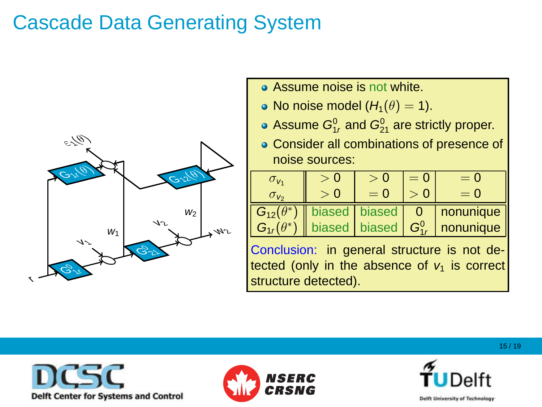

- No noise model (H1(θ) = 1). **Assume noise is not white.**
- No noise model  $(H_1(\theta) = 1)$ .
	- Assume  $G_{1r}^0$  and  $G_{21}^0$  are strictly proper.
	- w2 m ● Consider all combinations of presence of noise sources: with ∈ G12(θ)



Conclusion: in general structure is not detected (only in the absence of  $v_1$  is correct structure detected). <sup>1</sup><sup>r</sup> nonunique





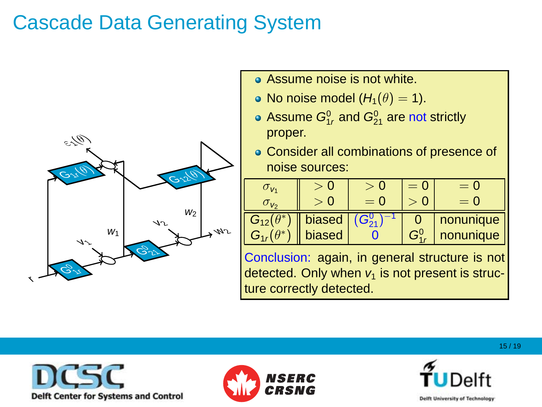

- Assume noise is not white.
- No noise model  $(H_1(\theta) = 1)$ .
- **•** Assume noise is not white.<br> **•** No noise model  $(H_1(\theta) = 1)$ .<br> **•** Assume  $G_{1r}^0$  and  $G_{21}^0$  are not strict proper. • Assume  $G_{1r}^0$  and  $G_{21}^0$  are not strictly ει με το φτορεί.<br>Γεγονότα proper.
	- w2 m Consider all combinations of presence of presence of  $\overline{\phantom{a}}$ 0 0 noise sources:



Conclusion: again, in general structure is not detected. Only when  $v_1$  is not present is struc-Conclusion: As long as one of the noise sources ture correctly detected.





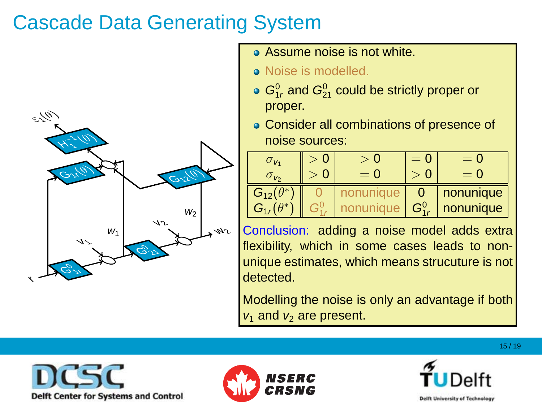

- Assume noise is not white.
- Noise is modelled.
- $G_{1r}^0$  and  $G_{21}^0$  could be strictly proper or proper.
	- noise sources: with ∞ with ∞ with ⊳ Consider all combinations of presence of



Conclusion: adding a noise model adds extra flexibility, which in some cases leads to nonunique estimates, which means strucuture is not detected.

Modelling the noise is only an advantage if both  $v_1$  and  $v_2$  are present.  $v_3$  is identified.





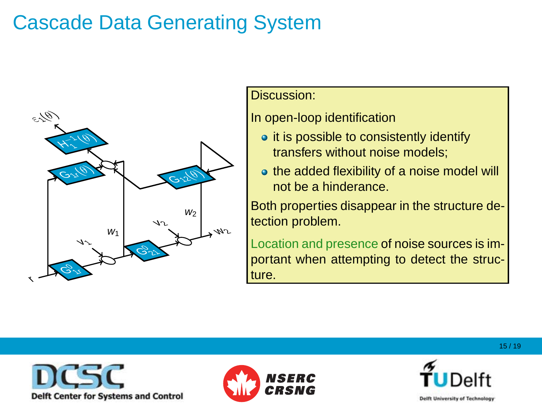

#### Discussion:

#### $\ln$  open-loop identification

• it is possible to consistently identify transfers without noise models;

<sup>1</sup><sup>r</sup> and G<sup>0</sup>

**■ the added flexibility of a noise model will**<br>Linot be a binderance the added hexibility of<br>not be a hinderance.

<sup>21</sup> are strictly proper.

Both properties disappear in the structure detection problem.<br>The orientation of the contract of the contract of the contract of the contract of the contract of the contract of the contract of the contract of the contract of the contract of the contract of the contra

Location and presence of noise sources is important when attempting to detect the struc-G1<sup>r</sup>(θ ) G<sup>0</sup> <sup>1</sup><sup>r</sup> G<sup>0</sup> <sup>1</sup><sup>r</sup> G<sup>0</sup> <sup>1</sup><sup>r</sup> nonunique ture.







w2 m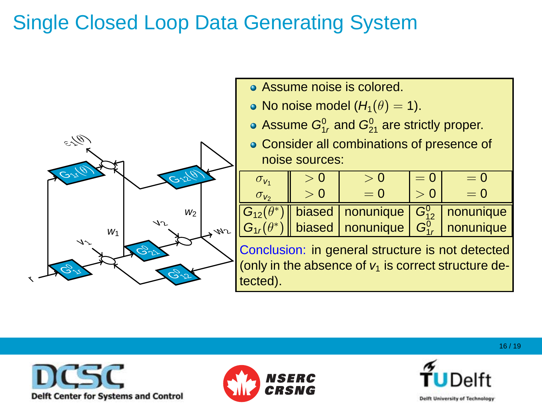# Single Closed Loop Data Generating System



- No noise model (H1(θ) = 1). Assume noise is colored. 101 ed.<br>21 are strictly proper.
- No noise model  $(H_1(\theta) = 1)$ .
	- Assume  $G_{1r}^0$  and  $G_{21}^0$  are strictly proper.
	- Consider all combinations of presence of = w1(t) − G12(θ)w2(t) − G1<sup>r</sup>(θ)r(t) noise sources:

| noise sources: |  |                                                                        |       |       |  |  |
|----------------|--|------------------------------------------------------------------------|-------|-------|--|--|
| $O_{V_1}$      |  |                                                                        | $= 0$ | $= 0$ |  |  |
|                |  | $= 0$                                                                  |       | $= 0$ |  |  |
|                |  | $\boxed{G_{12}(\theta^*)}$ biased   nonunique   $G_{12}^0$   nonunique |       |       |  |  |

Conclusion: in general structure is not detected (only in the absence of  $v_1$  is correct structure detected). tected).

| biased | nonunique  $|G_{1r}^0|$  nor

 $G_{1r}(\theta^*)$  biased nonunique  $G_{1r}^0$  nonunique





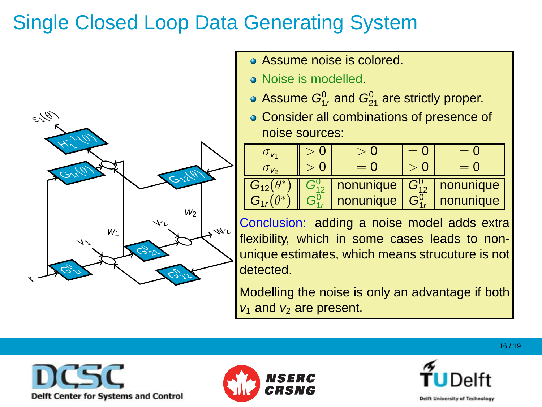# Single Closed Loop Data Generating System



- Assume noise is colored.
- Noise is modelled.
- Assume  $G_{1r}^0$  and  $G_{21}^0$  are strictly proper.
- Consider all combinations of presence of noise sources:

<sup>ε</sup>2(θ)

| TIUIJE JUUTUEJ.      |          |                      |       |           |  |  |  |
|----------------------|----------|----------------------|-------|-----------|--|--|--|
| $\sigma_{\nu_1}$     | $\Omega$ | > 0                  | $= 0$ | $= 0$     |  |  |  |
| $\sigma_{\nu_2}$     |          | $= 0$                |       | $= 0$     |  |  |  |
| $G_{12}(\theta^*)$   |          | nonunique $G_{12}^0$ |       | nonunique |  |  |  |
| $G_1$ , $(\theta^*)$ |          | nonunique            | $G^0$ | nonunique |  |  |  |

Conclusion: adding a noise model adds extra flexibility, which in some cases leads to nonunique estil<br>detected. unique estimates, which means strucuture is not<br>detected icu.

Modelling the noise is only an advantage if both<br>weard wearencoort  $v_1$  and  $v_2$  are present.





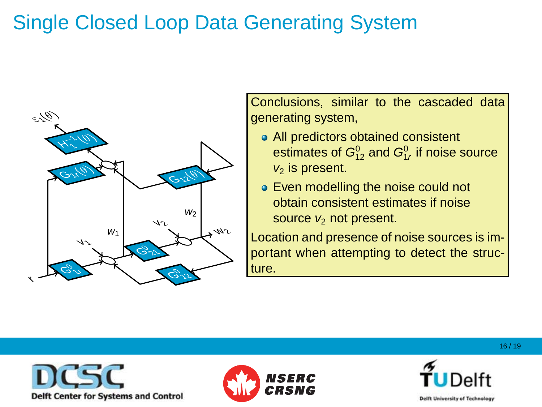# Single Closed Loop Data Generating System



Conclusions, similar to the cascaded data  $generating system,$ 

- w2 m • All predictors obtained consistent estimates of  $G_{12}^0$  and  $G_{1r}^0$  if noise source  $v_2$  is present.
- ended to present<br>■ Even modelling the noise could not obtain consistent estimates if noise source  $v_2$  not present.

 $\frac{1}{2}$   $\frac{1}{2}$   $\frac{1}{2}$   $\frac{1}{2}$   $\frac{1}{2}$   $\frac{1}{2}$   $\frac{1}{2}$   $\frac{1}{2}$   $\frac{1}{2}$   $\frac{1}{2}$   $\frac{1}{2}$   $\frac{1}{2}$   $\frac{1}{2}$   $\frac{1}{2}$   $\frac{1}{2}$   $\frac{1}{2}$   $\frac{1}{2}$   $\frac{1}{2}$   $\frac{1}{2}$   $\frac{1}{2}$   $\frac{1}{2}$   $\frac{1}{2}$  Location and presence of noise sources is im-<br>portant when attempting to detect the etrus portant when attempting to detect the struc-<br>ture i<br>G ∗ ) G<sup>0</sup> <sup>1</sup><sup>r</sup> G<sup>0</sup> <sup>1</sup><sup>r</sup> G<sup>0</sup> <sup>1</sup><sup>r</sup> nonunique ture.





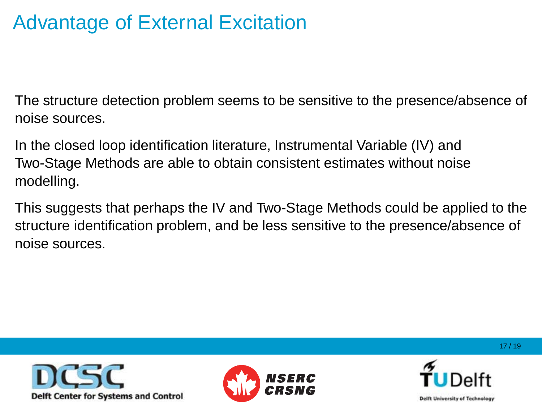# Advantage of External Excitation

The structure detection problem seems to be sensitive to the presence/absence of noise sources.

In the closed loop identification literature, Instrumental Variable (IV) and Two-Stage Methods are able to obtain consistent estimates without noise modelling.

This suggests that perhaps the IV and Two-Stage Methods could be applied to the structure identification problem, and be less sensitive to the presence/absence of noise sources.





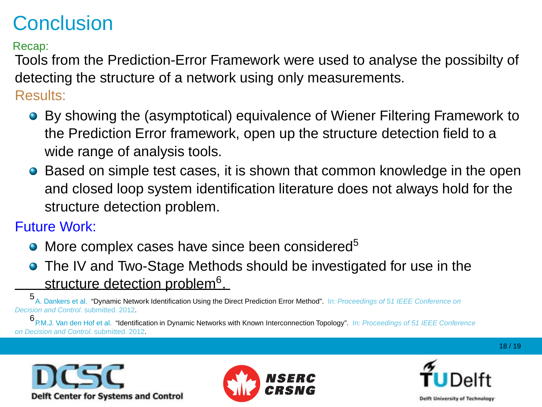# **Conclusion**

Recap:

Tools from the Prediction-Error Framework were used to analyse the possibilty of detecting the structure of a network using only measurements.

#### Results:

- **•** By showing the (asymptotical) equivalence of Wiener Filtering Framework to the Prediction Error framework, open up the structure detection field to a wide range of analysis tools.
- **•** Based on simple test cases, it is shown that common knowledge in the open and closed loop system identification literature does not always hold for the structure detection problem.

#### Future Work:

- More complex cases have since been considered<sup>5</sup>
- The IV and Two-Stage Methods should be investigated for use in the structure detection problem<sup>6</sup>.

5 A. Dankers et al. "Dynamic Network Identification Using the Direct Prediction Error Method". In: Proceedings of 51 IEEE Conference on Decision and Control. submitted. 2012.

6 P.M.J. Van den Hof et al. "Identification in Dynamic Networks with Known Interconnection Topology". In: Proceedings of 51 IEEE Conference on Decision and Control. submitted. 2012.